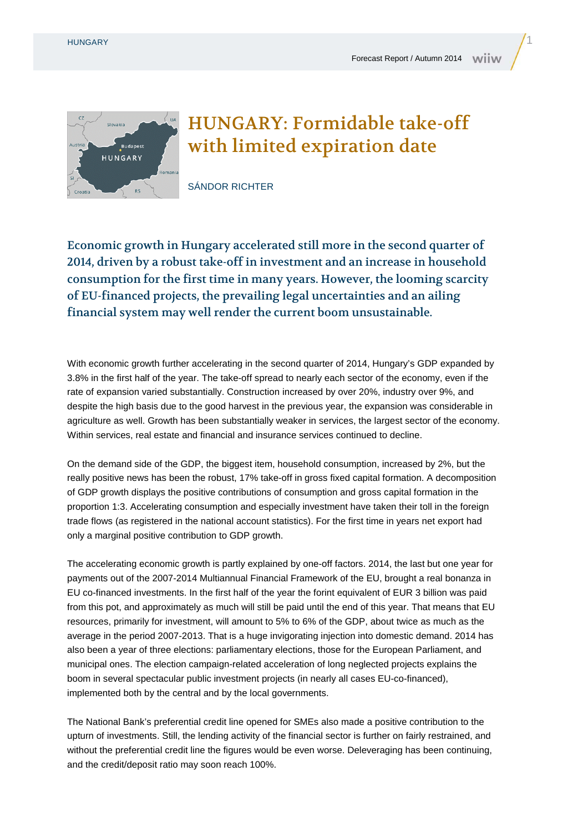

## HUNGARY: Formidable take-off with limited expiration date

SÁNDOR RICHTER

Economic growth in Hungary accelerated still more in the second quarter of 2014, driven by a robust take-off in investment and an increase in household consumption for the first time in many years. However, the looming scarcity of EU-financed projects, the prevailing legal uncertainties and an ailing financial system may well render the current boom unsustainable.

With economic growth further accelerating in the second quarter of 2014, Hungary's GDP expanded by 3.8% in the first half of the year. The take-off spread to nearly each sector of the economy, even if the rate of expansion varied substantially. Construction increased by over 20%, industry over 9%, and despite the high basis due to the good harvest in the previous year, the expansion was considerable in agriculture as well. Growth has been substantially weaker in services, the largest sector of the economy. Within services, real estate and financial and insurance services continued to decline.

On the demand side of the GDP, the biggest item, household consumption, increased by 2%, but the really positive news has been the robust, 17% take-off in gross fixed capital formation. A decomposition of GDP growth displays the positive contributions of consumption and gross capital formation in the proportion 1:3. Accelerating consumption and especially investment have taken their toll in the foreign trade flows (as registered in the national account statistics). For the first time in years net export had only a marginal positive contribution to GDP growth.

The accelerating economic growth is partly explained by one-off factors. 2014, the last but one year for payments out of the 2007-2014 Multiannual Financial Framework of the EU, brought a real bonanza in EU co-financed investments. In the first half of the year the forint equivalent of EUR 3 billion was paid from this pot, and approximately as much will still be paid until the end of this year. That means that EU resources, primarily for investment, will amount to 5% to 6% of the GDP, about twice as much as the average in the period 2007-2013. That is a huge invigorating injection into domestic demand. 2014 has also been a year of three elections: parliamentary elections, those for the European Parliament, and municipal ones. The election campaign-related acceleration of long neglected projects explains the boom in several spectacular public investment projects (in nearly all cases EU-co-financed), implemented both by the central and by the local governments.

The National Bank's preferential credit line opened for SMEs also made a positive contribution to the upturn of investments. Still, the lending activity of the financial sector is further on fairly restrained, and without the preferential credit line the figures would be even worse. Deleveraging has been continuing, and the credit/deposit ratio may soon reach 100%.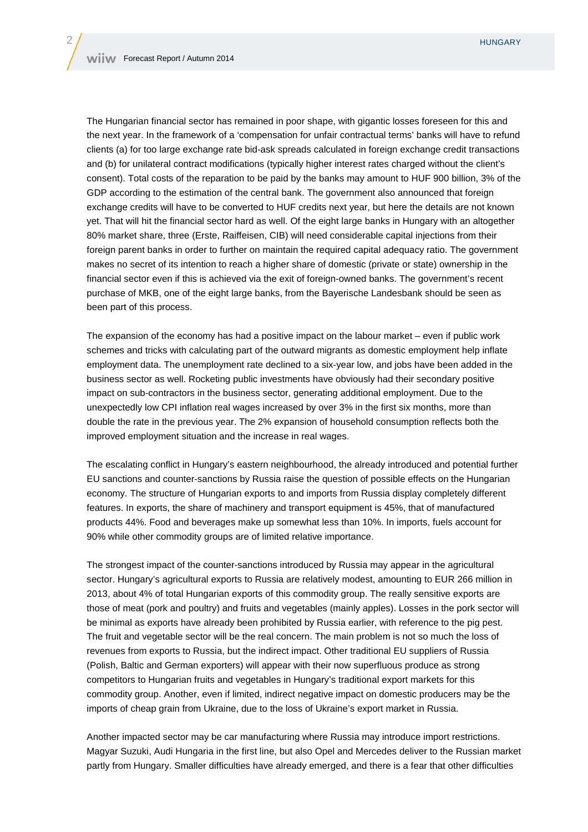The Hungarian financial sector has remained in poor shape, with gigantic losses foreseen for this and the next year. In the framework of a 'compensation for unfair contractual terms' banks will have to refund clients (a) for too large exchange rate bid-ask spreads calculated in foreign exchange credit transactions and (b) for unilateral contract modifications (typically higher interest rates charged without the client's consent). Total costs of the reparation to be paid by the banks may amount to HUF 900 billion, 3% of the GDP according to the estimation of the central bank. The government also announced that foreign exchange credits will have to be converted to HUF credits next year, but here the details are not known yet. That will hit the financial sector hard as well. Of the eight large banks in Hungary with an altogether 80% market share, three (Erste, Raiffeisen, CIB) will need considerable capital injections from their foreign parent banks in order to further on maintain the required capital adequacy ratio. The government makes no secret of its intention to reach a higher share of domestic (private or state) ownership in the financial sector even if this is achieved via the exit of foreign-owned banks. The government's recent purchase of MKB, one of the eight large banks, from the Bayerische Landesbank should be seen as been part of this process.

The expansion of the economy has had a positive impact on the labour market – even if public work schemes and tricks with calculating part of the outward migrants as domestic employment help inflate employment data. The unemployment rate declined to a six-year low, and jobs have been added in the business sector as well. Rocketing public investments have obviously had their secondary positive impact on sub-contractors in the business sector, generating additional employment. Due to the unexpectedly low CPI inflation real wages increased by over 3% in the first six months, more than double the rate in the previous year. The 2% expansion of household consumption reflects both the improved employment situation and the increase in real wages.

The escalating conflict in Hungary's eastern neighbourhood, the already introduced and potential further EU sanctions and counter-sanctions by Russia raise the question of possible effects on the Hungarian economy. The structure of Hungarian exports to and imports from Russia display completely different features. In exports, the share of machinery and transport equipment is 45%, that of manufactured products 44%. Food and beverages make up somewhat less than 10%. In imports, fuels account for 90% while other commodity groups are of limited relative importance.

The strongest impact of the counter-sanctions introduced by Russia may appear in the agricultural sector. Hungary's agricultural exports to Russia are relatively modest, amounting to EUR 266 million in 2013, about 4% of total Hungarian exports of this commodity group. The really sensitive exports are those of meat (pork and poultry) and fruits and vegetables (mainly apples). Losses in the pork sector will be minimal as exports have already been prohibited by Russia earlier, with reference to the pig pest. The fruit and vegetable sector will be the real concern. The main problem is not so much the loss of revenues from exports to Russia, but the indirect impact. Other traditional EU suppliers of Russia (Polish, Baltic and German exporters) will appear with their now superfluous produce as strong competitors to Hungarian fruits and vegetables in Hungary's traditional export markets for this commodity group. Another, even if limited, indirect negative impact on domestic producers may be the imports of cheap grain from Ukraine, due to the loss of Ukraine's export market in Russia.

Another impacted sector may be car manufacturing where Russia may introduce import restrictions. Magyar Suzuki, Audi Hungaria in the first line, but also Opel and Mercedes deliver to the Russian market partly from Hungary. Smaller difficulties have already emerged, and there is a fear that other difficulties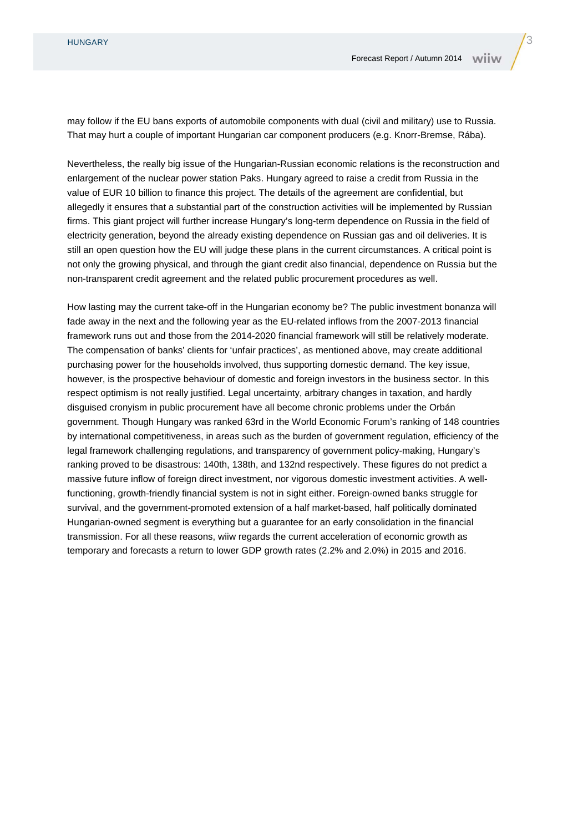may follow if the EU bans exports of automobile components with dual (civil and military) use to Russia. That may hurt a couple of important Hungarian car component producers (e.g. Knorr-Bremse, Rába).

Nevertheless, the really big issue of the Hungarian-Russian economic relations is the reconstruction and enlargement of the nuclear power station Paks. Hungary agreed to raise a credit from Russia in the value of EUR 10 billion to finance this project. The details of the agreement are confidential, but allegedly it ensures that a substantial part of the construction activities will be implemented by Russian firms. This giant project will further increase Hungary's long-term dependence on Russia in the field of electricity generation, beyond the already existing dependence on Russian gas and oil deliveries. It is still an open question how the EU will judge these plans in the current circumstances. A critical point is not only the growing physical, and through the giant credit also financial, dependence on Russia but the non-transparent credit agreement and the related public procurement procedures as well.

How lasting may the current take-off in the Hungarian economy be? The public investment bonanza will fade away in the next and the following year as the EU-related inflows from the 2007-2013 financial framework runs out and those from the 2014-2020 financial framework will still be relatively moderate. The compensation of banks' clients for 'unfair practices', as mentioned above, may create additional purchasing power for the households involved, thus supporting domestic demand. The key issue, however, is the prospective behaviour of domestic and foreign investors in the business sector. In this respect optimism is not really justified. Legal uncertainty, arbitrary changes in taxation, and hardly disguised cronyism in public procurement have all become chronic problems under the Orbán government. Though Hungary was ranked 63rd in the World Economic Forum's ranking of 148 countries by international competitiveness, in areas such as the burden of government regulation, efficiency of the legal framework challenging regulations, and transparency of government policy-making, Hungary's ranking proved to be disastrous: 140th, 138th, and 132nd respectively. These figures do not predict a massive future inflow of foreign direct investment, nor vigorous domestic investment activities. A wellfunctioning, growth-friendly financial system is not in sight either. Foreign-owned banks struggle for survival, and the government-promoted extension of a half market-based, half politically dominated Hungarian-owned segment is everything but a guarantee for an early consolidation in the financial transmission. For all these reasons, wiiw regards the current acceleration of economic growth as temporary and forecasts a return to lower GDP growth rates (2.2% and 2.0%) in 2015 and 2016.